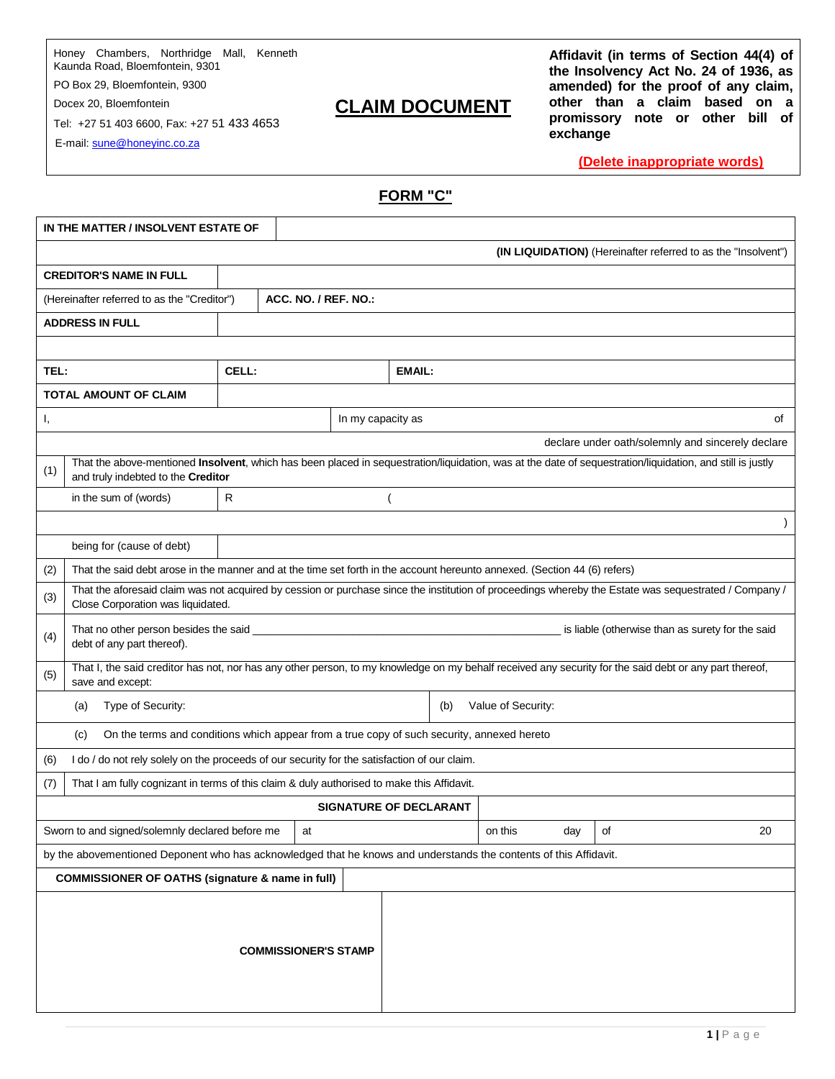Honey Chambers, Northridge Mall, Kenneth Kaunda Road, Bloemfontein, 9301

PO Box 29, Bloemfontein, 9300

Docex 20, Bloemfontein

Tel: +27 51 403 6600, Fax: +27 51 433 4653

E-mail: sune@honeyinc.co.za

# **CLAIM DOCUMENT**

**Affidavit (in terms of Section 44(4) of the Insolvency Act No. 24 of 1936, as amended) for the proof of any claim, other than a claim based on a promissory note or other bill of exchange**

**(Delete inappropriate words)**

# **FORM "C"**

|                                                                                                                   | IN THE MATTER / INSOLVENT ESTATE OF                                                                                                                                                             |              |                      |                               |        |         |     |    |  |                                                   |           |
|-------------------------------------------------------------------------------------------------------------------|-------------------------------------------------------------------------------------------------------------------------------------------------------------------------------------------------|--------------|----------------------|-------------------------------|--------|---------|-----|----|--|---------------------------------------------------|-----------|
|                                                                                                                   | (IN LIQUIDATION) (Hereinafter referred to as the "Insolvent")                                                                                                                                   |              |                      |                               |        |         |     |    |  |                                                   |           |
|                                                                                                                   | <b>CREDITOR'S NAME IN FULL</b>                                                                                                                                                                  |              |                      |                               |        |         |     |    |  |                                                   |           |
| (Hereinafter referred to as the "Creditor")                                                                       |                                                                                                                                                                                                 |              | ACC. NO. / REF. NO.: |                               |        |         |     |    |  |                                                   |           |
|                                                                                                                   | <b>ADDRESS IN FULL</b>                                                                                                                                                                          |              |                      |                               |        |         |     |    |  |                                                   |           |
|                                                                                                                   |                                                                                                                                                                                                 |              |                      |                               |        |         |     |    |  |                                                   |           |
| TEL:                                                                                                              |                                                                                                                                                                                                 | CELL:        |                      |                               | EMAIL: |         |     |    |  |                                                   |           |
|                                                                                                                   | <b>TOTAL AMOUNT OF CLAIM</b>                                                                                                                                                                    |              |                      |                               |        |         |     |    |  |                                                   |           |
| Ι,                                                                                                                |                                                                                                                                                                                                 |              |                      | In my capacity as             |        |         |     |    |  |                                                   | of        |
|                                                                                                                   |                                                                                                                                                                                                 |              |                      |                               |        |         |     |    |  | declare under oath/solemnly and sincerely declare |           |
| (1)                                                                                                               | That the above-mentioned Insolvent, which has been placed in sequestration/liquidation, was at the date of sequestration/liquidation, and still is justly<br>and truly indebted to the Creditor |              |                      |                               |        |         |     |    |  |                                                   |           |
|                                                                                                                   | in the sum of (words)                                                                                                                                                                           | $\mathsf{R}$ |                      |                               |        |         |     |    |  |                                                   |           |
|                                                                                                                   |                                                                                                                                                                                                 |              |                      |                               |        |         |     |    |  |                                                   | $\lambda$ |
|                                                                                                                   | being for (cause of debt)                                                                                                                                                                       |              |                      |                               |        |         |     |    |  |                                                   |           |
| (2)                                                                                                               | That the said debt arose in the manner and at the time set forth in the account hereunto annexed. (Section 44 (6) refers)                                                                       |              |                      |                               |        |         |     |    |  |                                                   |           |
| (3)                                                                                                               | That the aforesaid claim was not acquired by cession or purchase since the institution of proceedings whereby the Estate was sequestrated / Company /<br>Close Corporation was liquidated.      |              |                      |                               |        |         |     |    |  |                                                   |           |
| (4)                                                                                                               | debt of any part thereof).                                                                                                                                                                      |              |                      |                               |        |         |     |    |  | is liable (otherwise than as surety for the said  |           |
| (5)                                                                                                               | That I, the said creditor has not, nor has any other person, to my knowledge on my behalf received any security for the said debt or any part thereof,<br>save and except:                      |              |                      |                               |        |         |     |    |  |                                                   |           |
| Type of Security:<br>Value of Security:<br>(b)<br>(a)                                                             |                                                                                                                                                                                                 |              |                      |                               |        |         |     |    |  |                                                   |           |
|                                                                                                                   | On the terms and conditions which appear from a true copy of such security, annexed hereto<br>(c)                                                                                               |              |                      |                               |        |         |     |    |  |                                                   |           |
| (6)                                                                                                               | I do / do not rely solely on the proceeds of our security for the satisfaction of our claim.                                                                                                    |              |                      |                               |        |         |     |    |  |                                                   |           |
| (7)                                                                                                               | That I am fully cognizant in terms of this claim & duly authorised to make this Affidavit.                                                                                                      |              |                      |                               |        |         |     |    |  |                                                   |           |
|                                                                                                                   |                                                                                                                                                                                                 |              |                      | <b>SIGNATURE OF DECLARANT</b> |        |         |     |    |  |                                                   |           |
| Sworn to and signed/solemnly declared before me<br>at                                                             |                                                                                                                                                                                                 |              |                      |                               |        | on this | day | of |  | 20                                                |           |
| by the abovementioned Deponent who has acknowledged that he knows and understands the contents of this Affidavit. |                                                                                                                                                                                                 |              |                      |                               |        |         |     |    |  |                                                   |           |
| <b>COMMISSIONER OF OATHS (signature &amp; name in full)</b>                                                       |                                                                                                                                                                                                 |              |                      |                               |        |         |     |    |  |                                                   |           |
|                                                                                                                   | <b>COMMISSIONER'S STAMP</b>                                                                                                                                                                     |              |                      |                               |        |         |     |    |  |                                                   |           |
|                                                                                                                   |                                                                                                                                                                                                 |              |                      |                               |        |         |     |    |  |                                                   |           |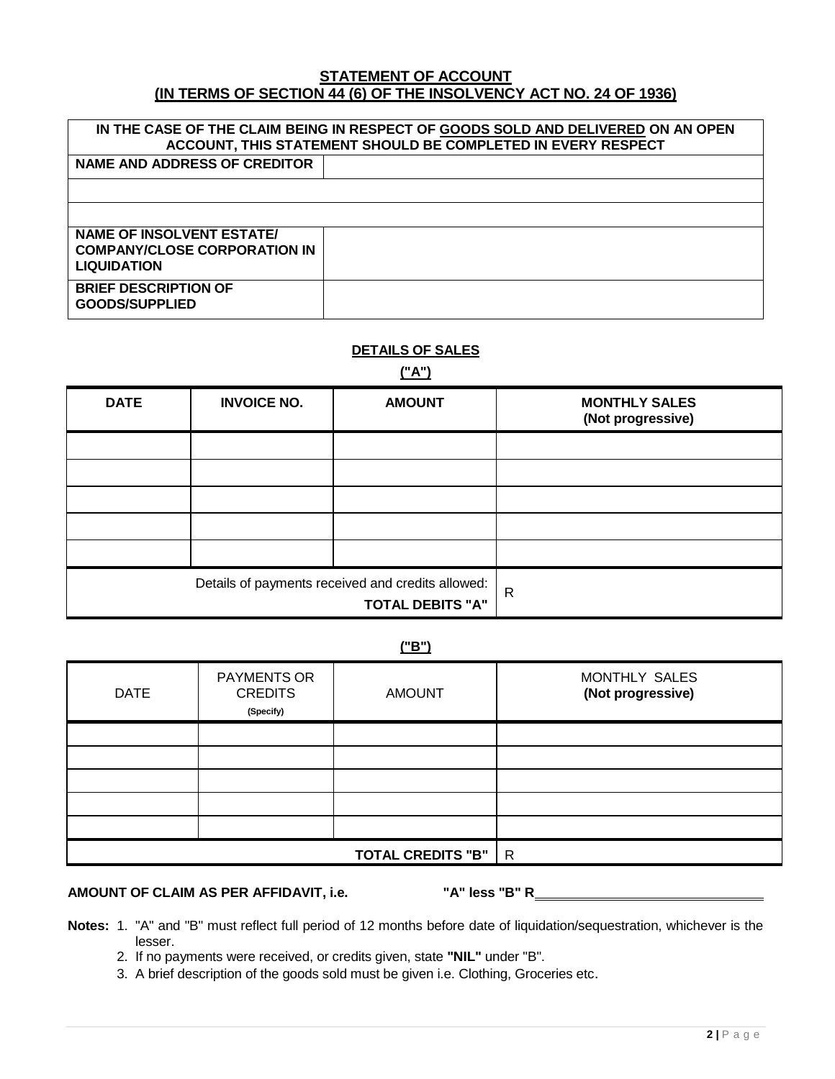#### **STATEMENT OF ACCOUNT (IN TERMS OF SECTION 44 (6) OF THE INSOLVENCY ACT NO. 24 OF 1936)**

| IN THE CASE OF THE CLAIM BEING IN RESPECT OF GOODS SOLD AND DELIVERED ON AN OPEN<br>ACCOUNT, THIS STATEMENT SHOULD BE COMPLETED IN EVERY RESPECT |  |  |  |  |  |  |  |  |
|--------------------------------------------------------------------------------------------------------------------------------------------------|--|--|--|--|--|--|--|--|
| NAME AND ADDRESS OF CREDITOR                                                                                                                     |  |  |  |  |  |  |  |  |
|                                                                                                                                                  |  |  |  |  |  |  |  |  |
|                                                                                                                                                  |  |  |  |  |  |  |  |  |
| NAME OF INSOLVENT ESTATE/<br><b>COMPANY/CLOSE CORPORATION IN</b>                                                                                 |  |  |  |  |  |  |  |  |
| <b>LIQUIDATION</b>                                                                                                                               |  |  |  |  |  |  |  |  |
| <b>BRIEF DESCRIPTION OF</b><br>GOODS/SUPPLIED                                                                                                    |  |  |  |  |  |  |  |  |

#### **DETAILS OF SALES**

**("A")**

| <b>DATE</b> | <b>INVOICE NO.</b> | <b>AMOUNT</b>                                                                | <b>MONTHLY SALES</b><br>(Not progressive) |
|-------------|--------------------|------------------------------------------------------------------------------|-------------------------------------------|
|             |                    |                                                                              |                                           |
|             |                    |                                                                              |                                           |
|             |                    |                                                                              |                                           |
|             |                    |                                                                              |                                           |
|             |                    |                                                                              |                                           |
|             |                    | Details of payments received and credits allowed:<br><b>TOTAL DEBITS "A"</b> | $\mathsf{R}$                              |

**("B")**

| <b>DATE</b> | <b>PAYMENTS OR</b><br><b>CREDITS</b><br>(Specify) | <b>AMOUNT</b> | MONTHLY SALES<br>(Not progressive) |  |  |
|-------------|---------------------------------------------------|---------------|------------------------------------|--|--|
|             |                                                   |               |                                    |  |  |
|             |                                                   |               |                                    |  |  |
|             |                                                   |               |                                    |  |  |
|             |                                                   |               |                                    |  |  |
|             |                                                   |               |                                    |  |  |
|             |                                                   | $\mathsf{R}$  |                                    |  |  |

# **AMOUNT OF CLAIM AS PER AFFIDAVIT, i.e. "A" less "B" R**

- **Notes:** 1. "A" and "B" must reflect full period of 12 months before date of liquidation/sequestration, whichever is the lesser.
	- 2. If no payments were received, or credits given, state **"NIL"** under "B".
	- 3. A brief description of the goods sold must be given i.e. Clothing, Groceries etc.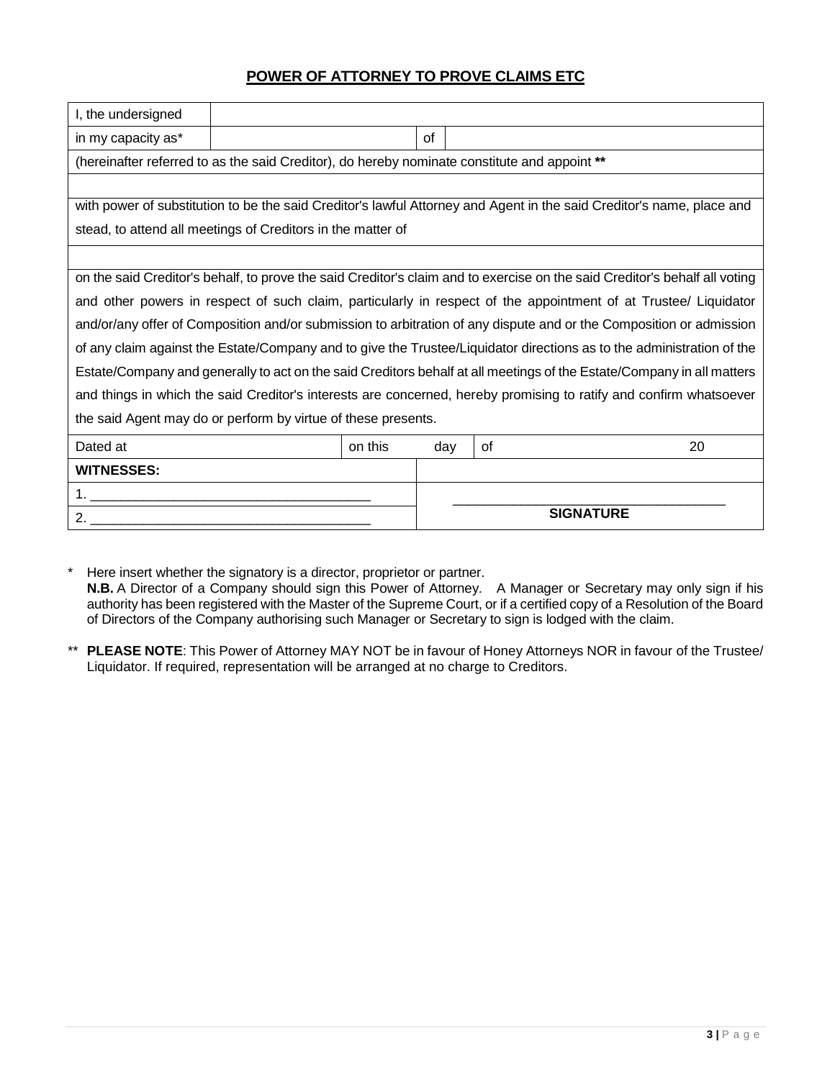## **POWER OF ATTORNEY TO PROVE CLAIMS ETC**

| I, the undersigned                                                                                                         |  |  |                  |  |                                                                                                                       |  |  |
|----------------------------------------------------------------------------------------------------------------------------|--|--|------------------|--|-----------------------------------------------------------------------------------------------------------------------|--|--|
| in my capacity as*                                                                                                         |  |  | of               |  |                                                                                                                       |  |  |
| (hereinafter referred to as the said Creditor), do hereby nominate constitute and appoint **                               |  |  |                  |  |                                                                                                                       |  |  |
|                                                                                                                            |  |  |                  |  |                                                                                                                       |  |  |
|                                                                                                                            |  |  |                  |  | with power of substitution to be the said Creditor's lawful Attorney and Agent in the said Creditor's name, place and |  |  |
| stead, to attend all meetings of Creditors in the matter of                                                                |  |  |                  |  |                                                                                                                       |  |  |
|                                                                                                                            |  |  |                  |  |                                                                                                                       |  |  |
| on the said Creditor's behalf, to prove the said Creditor's claim and to exercise on the said Creditor's behalf all voting |  |  |                  |  |                                                                                                                       |  |  |
| and other powers in respect of such claim, particularly in respect of the appointment of at Trustee/ Liquidator            |  |  |                  |  |                                                                                                                       |  |  |
| and/or/any offer of Composition and/or submission to arbitration of any dispute and or the Composition or admission        |  |  |                  |  |                                                                                                                       |  |  |
| of any claim against the Estate/Company and to give the Trustee/Liquidator directions as to the administration of the      |  |  |                  |  |                                                                                                                       |  |  |
| Estate/Company and generally to act on the said Creditors behalf at all meetings of the Estate/Company in all matters      |  |  |                  |  |                                                                                                                       |  |  |
| and things in which the said Creditor's interests are concerned, hereby promising to ratify and confirm whatsoever         |  |  |                  |  |                                                                                                                       |  |  |
| the said Agent may do or perform by virtue of these presents.                                                              |  |  |                  |  |                                                                                                                       |  |  |
| Dated at<br>on this<br>20<br>0f<br>day                                                                                     |  |  |                  |  |                                                                                                                       |  |  |
| <b>WITNESSES:</b>                                                                                                          |  |  |                  |  |                                                                                                                       |  |  |
|                                                                                                                            |  |  |                  |  |                                                                                                                       |  |  |
| 2.                                                                                                                         |  |  | <b>SIGNATURE</b> |  |                                                                                                                       |  |  |

\* Here insert whether the signatory is a director, proprietor or partner. **N.B.** A Director of a Company should sign this Power of Attorney. A Manager or Secretary may only sign if his authority has been registered with the Master of the Supreme Court, or if a certified copy of a Resolution of the Board of Directors of the Company authorising such Manager or Secretary to sign is lodged with the claim.

\*\* **PLEASE NOTE**: This Power of Attorney MAY NOT be in favour of Honey Attorneys NOR in favour of the Trustee/ Liquidator. If required, representation will be arranged at no charge to Creditors.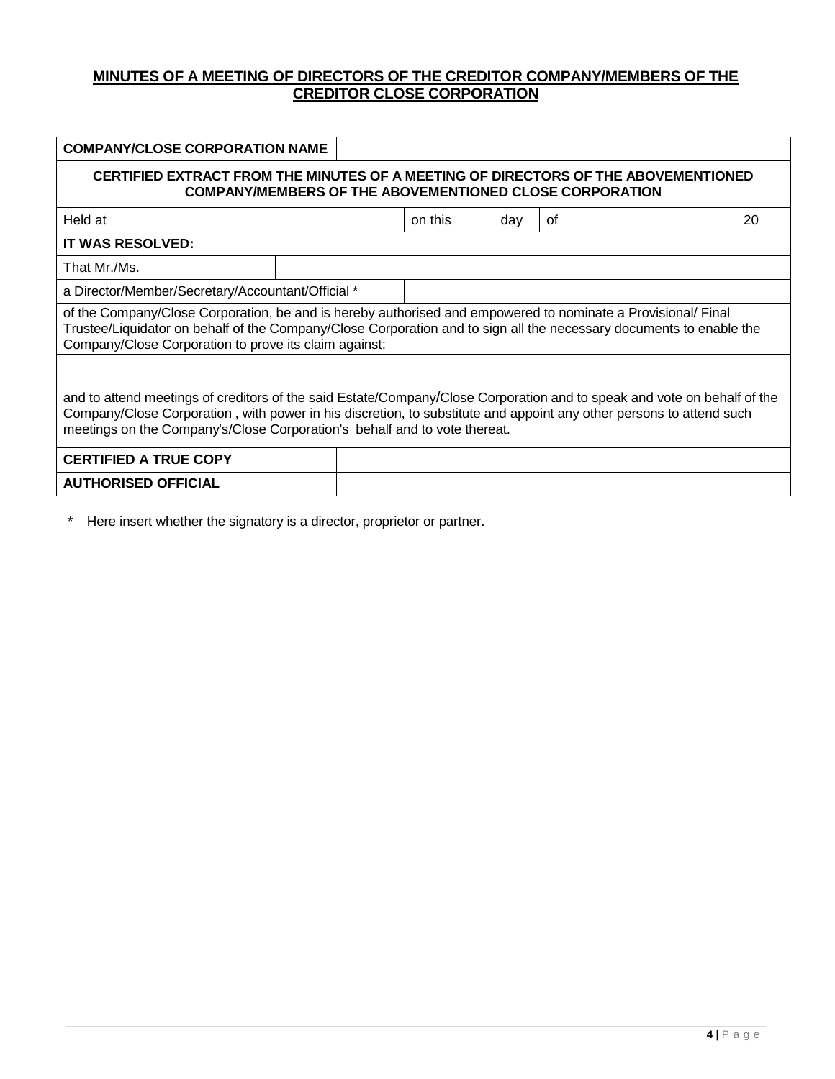## **MINUTES OF A MEETING OF DIRECTORS OF THE CREDITOR COMPANY/MEMBERS OF THE CREDITOR CLOSE CORPORATION**

| <b>COMPANY/CLOSE CORPORATION NAME</b>                                                                                                                                                                                                                                                                                       |  |         |     |    |    |  |  |
|-----------------------------------------------------------------------------------------------------------------------------------------------------------------------------------------------------------------------------------------------------------------------------------------------------------------------------|--|---------|-----|----|----|--|--|
| CERTIFIED EXTRACT FROM THE MINUTES OF A MEETING OF DIRECTORS OF THE ABOVEMENTIONED<br><b>COMPANY/MEMBERS OF THE ABOVEMENTIONED CLOSE CORPORATION</b>                                                                                                                                                                        |  |         |     |    |    |  |  |
| Held at                                                                                                                                                                                                                                                                                                                     |  | on this | day | οf | 20 |  |  |
| <b>IT WAS RESOLVED:</b>                                                                                                                                                                                                                                                                                                     |  |         |     |    |    |  |  |
| That Mr./Ms.                                                                                                                                                                                                                                                                                                                |  |         |     |    |    |  |  |
| a Director/Member/Secretary/Accountant/Official *                                                                                                                                                                                                                                                                           |  |         |     |    |    |  |  |
| of the Company/Close Corporation, be and is hereby authorised and empowered to nominate a Provisional/ Final<br>Trustee/Liquidator on behalf of the Company/Close Corporation and to sign all the necessary documents to enable the<br>Company/Close Corporation to prove its claim against:                                |  |         |     |    |    |  |  |
|                                                                                                                                                                                                                                                                                                                             |  |         |     |    |    |  |  |
| and to attend meetings of creditors of the said Estate/Company/Close Corporation and to speak and vote on behalf of the<br>Company/Close Corporation, with power in his discretion, to substitute and appoint any other persons to attend such<br>meetings on the Company's/Close Corporation's behalf and to vote thereat. |  |         |     |    |    |  |  |
| <b>CERTIFIED A TRUE COPY</b>                                                                                                                                                                                                                                                                                                |  |         |     |    |    |  |  |
| <b>AUTHORISED OFFICIAL</b>                                                                                                                                                                                                                                                                                                  |  |         |     |    |    |  |  |
|                                                                                                                                                                                                                                                                                                                             |  |         |     |    |    |  |  |

\* Here insert whether the signatory is a director, proprietor or partner.